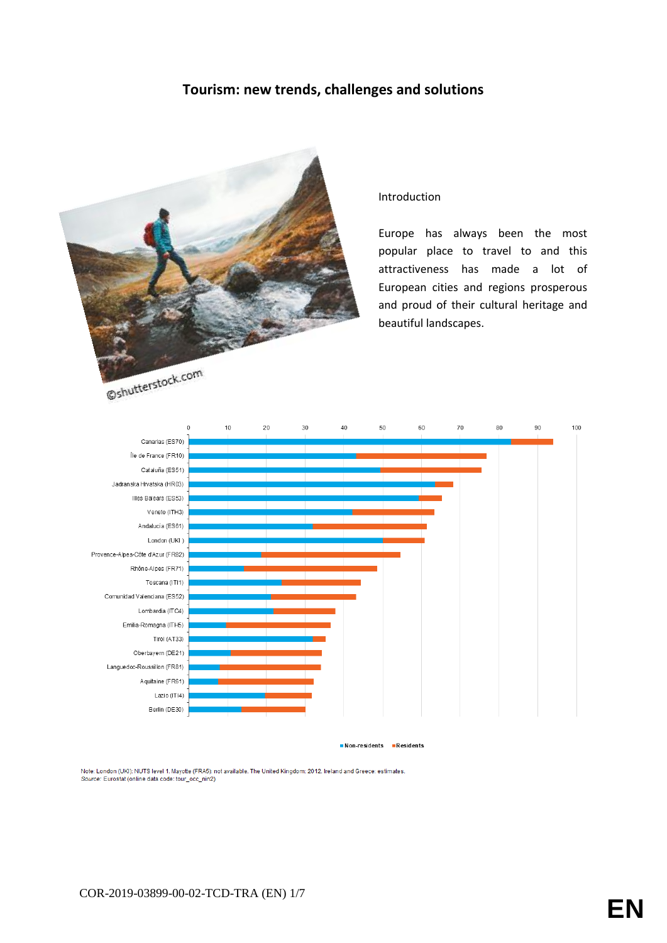## **Tourism: new trends, challenges and solutions**



### Introduction

Europe has always been the most popular place to travel to and this attractiveness has made a lot of European cities and regions prosperous and proud of their cultural heritage and beautiful landscapes.



Non-residents Residents

Note: London (UKI): NUTS level 1. Mayotte (FRA5): not available. The United Kingdom: 2012. Ireland and Greece: estimates. Source: Eurostat (online data code: tour\_occ\_nin2)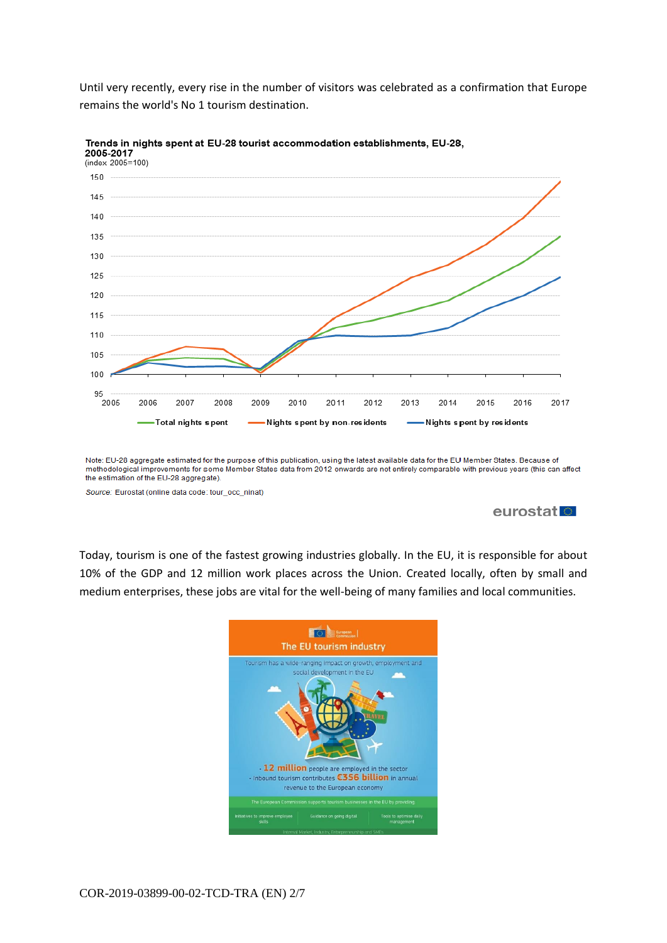Until very recently, every rise in the number of visitors was celebrated as a confirmation that Europe remains the world's No 1 tourism destination.



Trends in nights spent at EU-28 tourist accommodation establishments, EU-28,

Note: EU-28 aggregate estimated for the purpose of this publication, using the latest available data for the EU Member States, Because of methodological improvements for some Member States data from 2012 onwards are not entirely comparable with previous years (this can affect the estimation of the EU-28 aggregate).

Source: Eurostat (online data code: tour\_occ\_ninat)

eurostat

Today, tourism is one of the fastest growing industries globally. In the EU, it is responsible for about 10% of the GDP and 12 million work places across the Union. Created locally, often by small and medium enterprises, these jobs are vital for the well-being of many families and local communities.

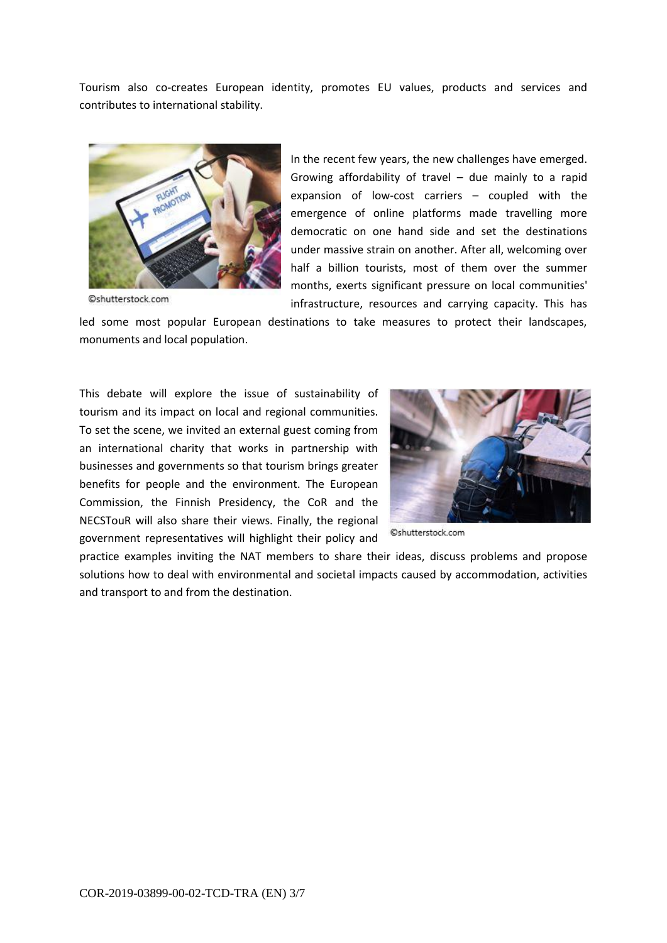Tourism also co-creates European identity, promotes EU values, products and services and contributes to international stability.



©shutterstock.com

In the recent few years, the new challenges have emerged. Growing affordability of travel – due mainly to a rapid expansion of low-cost carriers – coupled with the emergence of online platforms made travelling more democratic on one hand side and set the destinations under massive strain on another. After all, welcoming over half a billion tourists, most of them over the summer months, exerts significant pressure on local communities' infrastructure, resources and carrying capacity. This has

led some most popular European destinations to take measures to protect their landscapes, monuments and local population.

This debate will explore the issue of sustainability of tourism and its impact on local and regional communities. To set the scene, we invited an external guest coming from an international charity that works in partnership with businesses and governments so that tourism brings greater benefits for people and the environment. The European Commission, the Finnish Presidency, the CoR and the NECSTouR will also share their views. Finally, the regional government representatives will highlight their policy and



©shutterstock.com

practice examples inviting the NAT members to share their ideas, discuss problems and propose solutions how to deal with environmental and societal impacts caused by accommodation, activities and transport to and from the destination.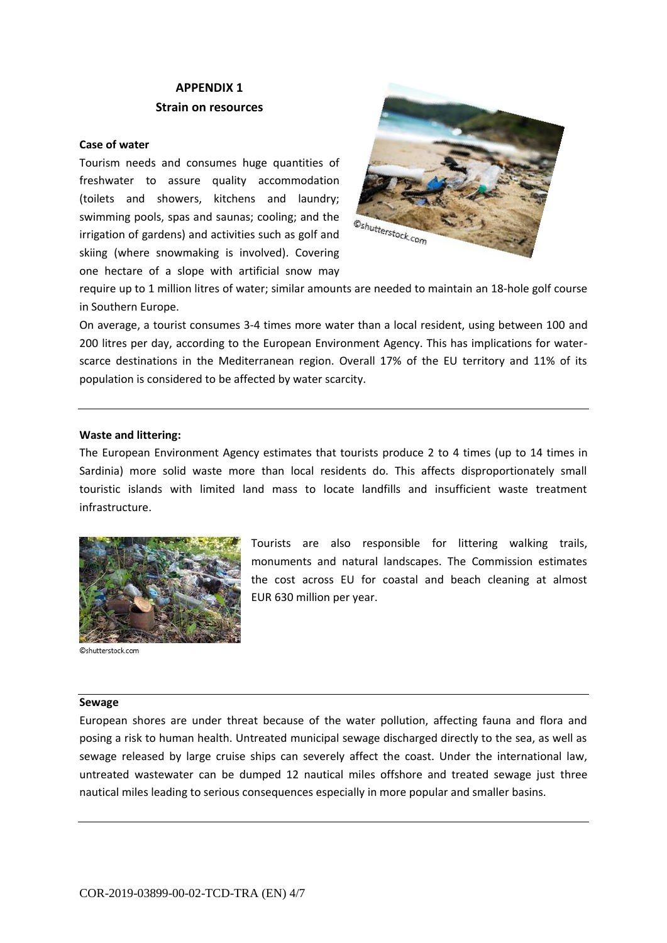# **APPENDIX 1 Strain on resources**

#### **Case of water**

Tourism needs and consumes huge quantities of freshwater to assure quality accommodation (toilets and showers, kitchens and laundry; swimming pools, spas and saunas; cooling; and the irrigation of gardens) and activities such as golf and skiing (where snowmaking is involved). Covering one hectare of a slope with artificial snow may



require up to 1 million litres of water; similar amounts are needed to maintain an 18-hole golf course in Southern Europe.

On average, a tourist consumes 3-4 times more water than a local resident, using between 100 and 200 litres per day, according to the European Environment Agency. This has implications for waterscarce destinations in the Mediterranean region. Overall 17% of the EU territory and 11% of its population is considered to be affected by water scarcity.

#### **Waste and littering:**

The European Environment Agency estimates that tourists produce 2 to 4 times (up to 14 times in Sardinia) more solid waste more than local residents do. This affects disproportionately small touristic islands with limited land mass to locate landfills and insufficient waste treatment infrastructure.



©shutterstock.com

Tourists are also responsible for littering walking trails, monuments and natural landscapes. The Commission estimates the cost across EU for coastal and beach cleaning at almost EUR 630 million per year.

#### **Sewage**

European shores are under threat because of the water pollution, affecting fauna and flora and posing a risk to human health. Untreated municipal sewage discharged directly to the sea, as well as sewage released by large cruise ships can severely affect the coast. Under the international law, untreated wastewater can be dumped 12 nautical miles offshore and treated sewage just three nautical miles leading to serious consequences especially in more popular and smaller basins.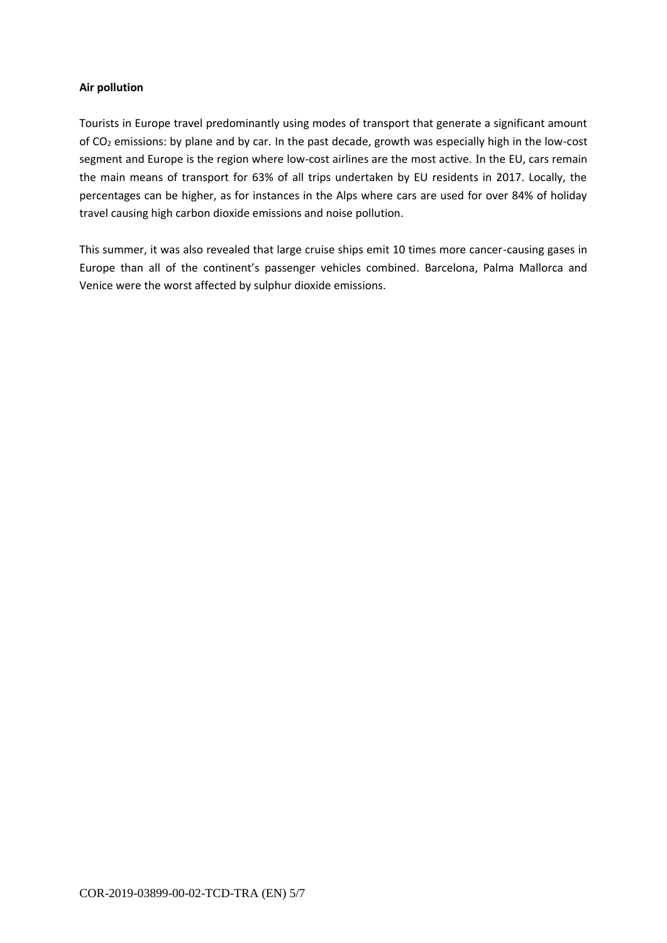## **Air pollution**

Tourists in Europe travel predominantly using modes of transport that generate a significant amount of CO<sup>2</sup> emissions: by plane and by car. In the past decade, growth was especially high in the low-cost segment and Europe is the region where low-cost airlines are the most active. In the EU, cars remain the main means of transport for 63% of all trips undertaken by EU residents in 2017. Locally, the percentages can be higher, as for instances in the Alps where cars are used for over 84% of holiday travel causing high carbon dioxide emissions and noise pollution.

This summer, it was also revealed that large cruise ships emit 10 times more cancer-causing gases in Europe than all of the continent's passenger vehicles combined. Barcelona, Palma Mallorca and Venice were the worst affected by sulphur dioxide emissions.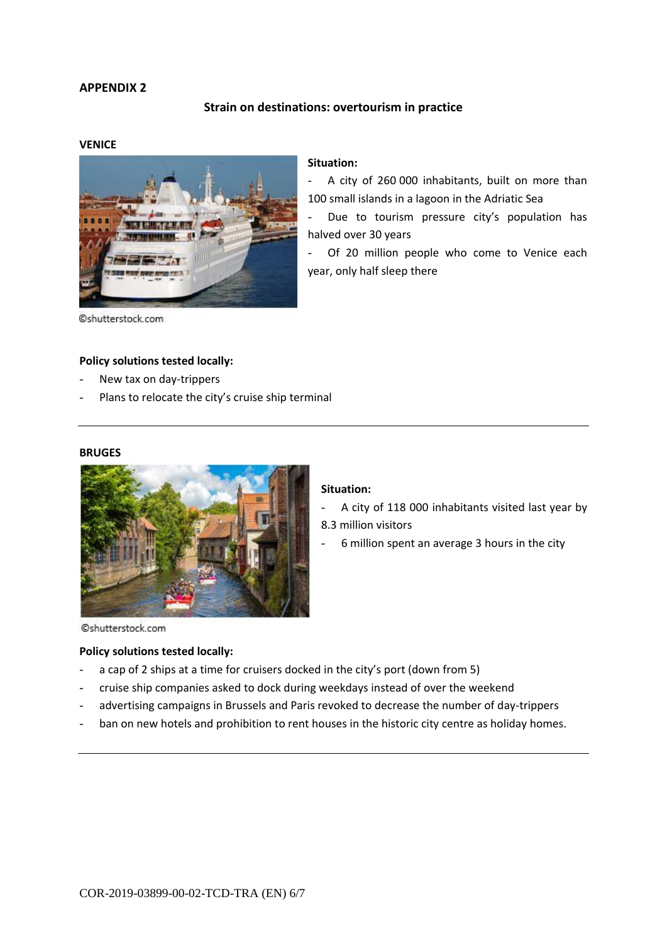### **APPENDIX 2**

## **Strain on destinations: overtourism in practice**

#### **VENICE**



### **Situation:**

- A city of 260 000 inhabitants, built on more than 100 small islands in a lagoon in the Adriatic Sea

- Due to tourism pressure city's population has halved over 30 years

- Of 20 million people who come to Venice each year, only half sleep there

©shutterstock.com

### **Policy solutions tested locally:**

- New tax on day-trippers
- Plans to relocate the city's cruise ship terminal

#### **BRUGES**



## **Situation:**

- A city of 118 000 inhabitants visited last year by
- 8.3 million visitors
- 6 million spent an average 3 hours in the city

©shutterstock.com

#### **Policy solutions tested locally:**

- a cap of 2 ships at a time for cruisers docked in the city's port (down from 5)
- cruise ship companies asked to dock during weekdays instead of over the weekend
- advertising campaigns in Brussels and Paris revoked to decrease the number of day-trippers
- ban on new hotels and prohibition to rent houses in the historic city centre as holiday homes.